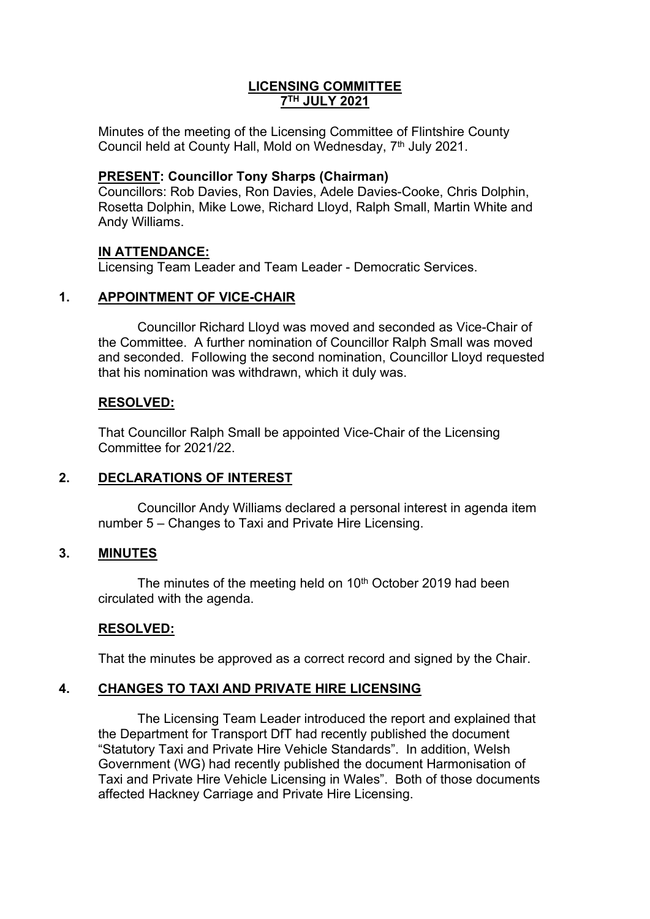## **LICENSING COMMITTEE 7 TH JULY 2021**

Minutes of the meeting of the Licensing Committee of Flintshire County Council held at County Hall, Mold on Wednesday, 7<sup>th</sup> July 2021.

## **PRESENT: Councillor Tony Sharps (Chairman)**

Councillors: Rob Davies, Ron Davies, Adele Davies-Cooke, Chris Dolphin, Rosetta Dolphin, Mike Lowe, Richard Lloyd, Ralph Small, Martin White and Andy Williams.

## **IN ATTENDANCE:**

Licensing Team Leader and Team Leader - Democratic Services.

## **1. APPOINTMENT OF VICE-CHAIR**

Councillor Richard Lloyd was moved and seconded as Vice-Chair of the Committee. A further nomination of Councillor Ralph Small was moved and seconded. Following the second nomination, Councillor Lloyd requested that his nomination was withdrawn, which it duly was.

## **RESOLVED:**

That Councillor Ralph Small be appointed Vice-Chair of the Licensing Committee for 2021/22.

## **2. DECLARATIONS OF INTEREST**

Councillor Andy Williams declared a personal interest in agenda item number 5 – Changes to Taxi and Private Hire Licensing.

## **3. MINUTES**

The minutes of the meeting held on  $10<sup>th</sup>$  October 2019 had been circulated with the agenda.

# **RESOLVED:**

That the minutes be approved as a correct record and signed by the Chair.

## **4. CHANGES TO TAXI AND PRIVATE HIRE LICENSING**

The Licensing Team Leader introduced the report and explained that the Department for Transport DfT had recently published the document "Statutory Taxi and Private Hire Vehicle Standards". In addition, Welsh Government (WG) had recently published the document Harmonisation of Taxi and Private Hire Vehicle Licensing in Wales". Both of those documents affected Hackney Carriage and Private Hire Licensing.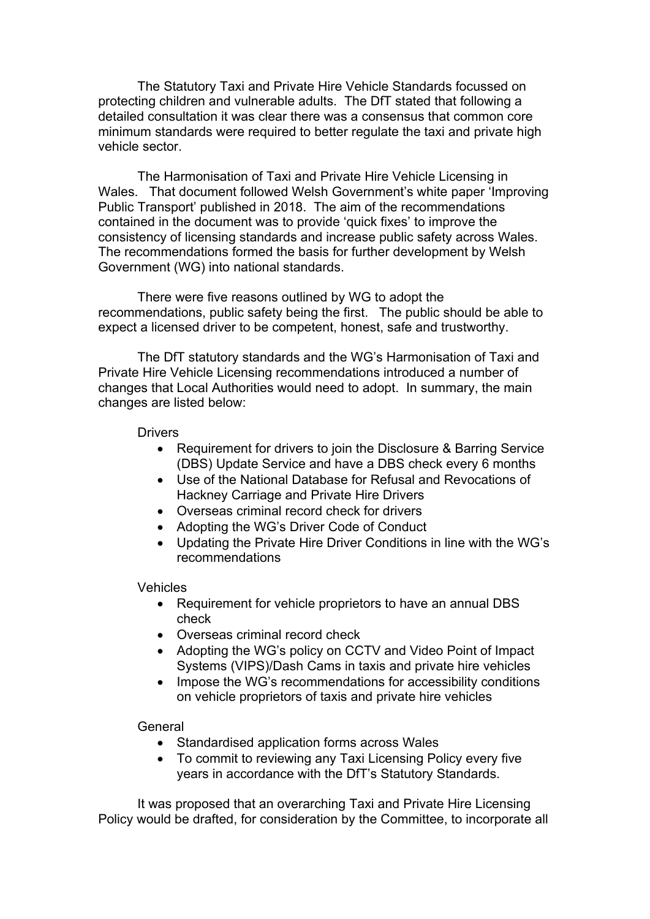The Statutory Taxi and Private Hire Vehicle Standards focussed on protecting children and vulnerable adults. The DfT stated that following a detailed consultation it was clear there was a consensus that common core minimum standards were required to better regulate the taxi and private high vehicle sector.

The Harmonisation of Taxi and Private Hire Vehicle Licensing in Wales. That document followed Welsh Government's white paper 'Improving Public Transport' published in 2018. The aim of the recommendations contained in the document was to provide 'quick fixes' to improve the consistency of licensing standards and increase public safety across Wales. The recommendations formed the basis for further development by Welsh Government (WG) into national standards.

There were five reasons outlined by WG to adopt the recommendations, public safety being the first. The public should be able to expect a licensed driver to be competent, honest, safe and trustworthy.

The DfT statutory standards and the WG's Harmonisation of Taxi and Private Hire Vehicle Licensing recommendations introduced a number of changes that Local Authorities would need to adopt. In summary, the main changes are listed below:

#### **Drivers**

- Requirement for drivers to join the Disclosure & Barring Service (DBS) Update Service and have a DBS check every 6 months
- Use of the National Database for Refusal and Revocations of Hackney Carriage and Private Hire Drivers
- Overseas criminal record check for drivers
- Adopting the WG's Driver Code of Conduct
- Updating the Private Hire Driver Conditions in line with the WG's recommendations

### **Vehicles**

- Requirement for vehicle proprietors to have an annual DBS check
- Overseas criminal record check
- Adopting the WG's policy on CCTV and Video Point of Impact Systems (VIPS)/Dash Cams in taxis and private hire vehicles
- Impose the WG's recommendations for accessibility conditions on vehicle proprietors of taxis and private hire vehicles

### General

- Standardised application forms across Wales
- To commit to reviewing any Taxi Licensing Policy every five years in accordance with the DfT's Statutory Standards.

It was proposed that an overarching Taxi and Private Hire Licensing Policy would be drafted, for consideration by the Committee, to incorporate all